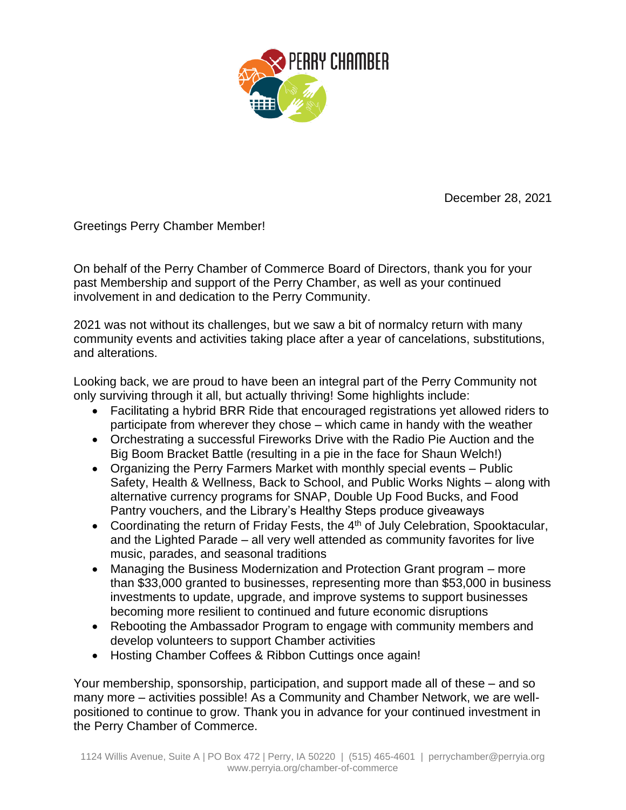

December 28, 2021

Greetings Perry Chamber Member!

On behalf of the Perry Chamber of Commerce Board of Directors, thank you for your past Membership and support of the Perry Chamber, as well as your continued involvement in and dedication to the Perry Community.

2021 was not without its challenges, but we saw a bit of normalcy return with many community events and activities taking place after a year of cancelations, substitutions, and alterations.

Looking back, we are proud to have been an integral part of the Perry Community not only surviving through it all, but actually thriving! Some highlights include:

- Facilitating a hybrid BRR Ride that encouraged registrations yet allowed riders to participate from wherever they chose – which came in handy with the weather
- Orchestrating a successful Fireworks Drive with the Radio Pie Auction and the Big Boom Bracket Battle (resulting in a pie in the face for Shaun Welch!)
- Organizing the Perry Farmers Market with monthly special events Public Safety, Health & Wellness, Back to School, and Public Works Nights – along with alternative currency programs for SNAP, Double Up Food Bucks, and Food Pantry vouchers, and the Library's Healthy Steps produce giveaways
- Coordinating the return of Friday Fests, the  $4<sup>th</sup>$  of July Celebration, Spooktacular, and the Lighted Parade – all very well attended as community favorites for live music, parades, and seasonal traditions
- Managing the Business Modernization and Protection Grant program more than \$33,000 granted to businesses, representing more than \$53,000 in business investments to update, upgrade, and improve systems to support businesses becoming more resilient to continued and future economic disruptions
- Rebooting the Ambassador Program to engage with community members and develop volunteers to support Chamber activities
- Hosting Chamber Coffees & Ribbon Cuttings once again!

Your membership, sponsorship, participation, and support made all of these – and so many more – activities possible! As a Community and Chamber Network, we are wellpositioned to continue to grow. Thank you in advance for your continued investment in the Perry Chamber of Commerce.